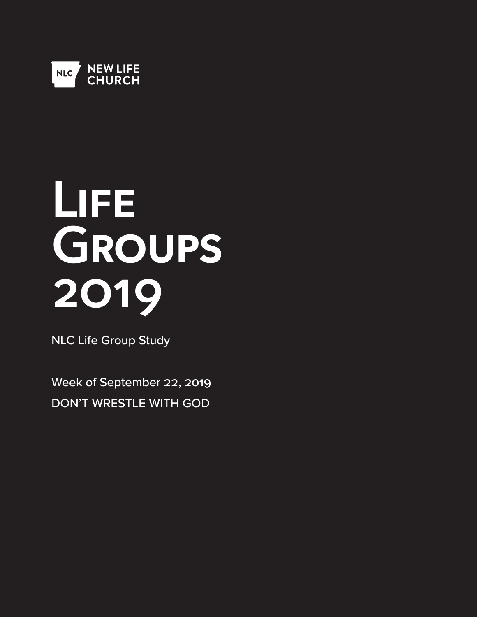

# **Life Groups 2019**

NLC Life Group Study

Week of September 22, 2019 DON'T WRESTLE WITH GOD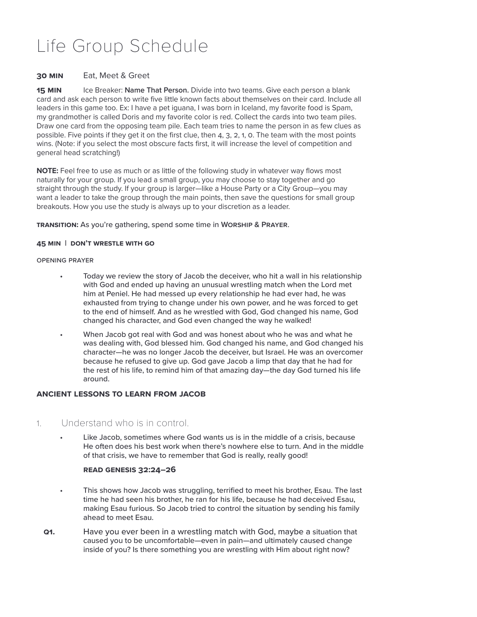# Life Group Schedule

# **30 Min** Eat, Meet & Greet

**15 MIN** Ice Breaker: **Name That Person.** Divide into two teams. Give each person a blank card and ask each person to write five little known facts about themselves on their card. Include all leaders in this game too. Ex: I have a pet iguana, I was born in Iceland, my favorite food is Spam, my grandmother is called Doris and my favorite color is red. Collect the cards into two team piles. Draw one card from the opposing team pile. Each team tries to name the person in as few clues as possible. Five points if they get it on the first clue, then 4, 3, 2, 1, 0. The team with the most points wins. (Note: if you select the most obscure facts first, it will increase the level of competition and general head scratching!)

**NOTE:** Feel free to use as much or as little of the following study in whatever way flows most naturally for your group. If you lead a small group, you may choose to stay together and go straight through the study. If your group is larger—like a House Party or a City Group—you may want a leader to take the group through the main points, then save the questions for small group breakouts. How you use the study is always up to your discretion as a leader.

# **Transition:** As you're gathering, spend some time in **Worship & Prayer**.

# **45 Min | DON't wrestle with go**

#### Opening Prayer

- Today we review the story of Jacob the deceiver, who hit a wall in his relationship with God and ended up having an unusual wrestling match when the Lord met him at Peniel. He had messed up every relationship he had ever had, he was exhausted from trying to change under his own power, and he was forced to get to the end of himself. And as he wrestled with God, God changed his name, God changed his character, and God even changed the way he walked!
- When Jacob got real with God and was honest about who he was and what he was dealing with, God blessed him. God changed his name, and God changed his character—he was no longer Jacob the deceiver, but Israel. He was an overcomer because he refused to give up. God gave Jacob a limp that day that he had for the rest of his life, to remind him of that amazing day—the day God turned his life around.

# **Ancient Lessons to Learn from Jacob**

# 1. Understand who is in control.

Like Jacob, sometimes where God wants us is in the middle of a crisis, because He often does his best work when there's nowhere else to turn. And in the middle of that crisis, we have to remember that God is really, really good!

# **Read Genesis 32:24–26**

- This shows how Jacob was struggling, terrified to meet his brother, Esau. The last time he had seen his brother, he ran for his life, because he had deceived Esau, making Esau furious. So Jacob tried to control the situation by sending his family ahead to meet Esau.
- **Q1.** Have you ever been in a wrestling match with God, maybe a situation that caused you to be uncomfortable—even in pain—and ultimately caused change inside of you? Is there something you are wrestling with Him about right now?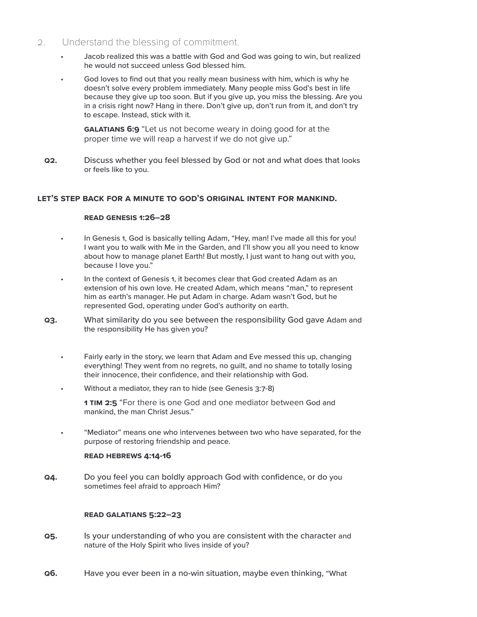# 2. Understand the blessing of commitment.

- Jacob realized this was a battle with God and God was going to win, but realized he would not succeed unless God blessed him.
- God loves to find out that you really mean business with him, which is why he doesn't solve every problem immediately. Many people miss God's best in life because they give up too soon. But if you give up, you miss the blessing. Are you in a crisis right now? Hang in there. Don't give up, don't run from it, and don't try to escape. Instead, stick with it.

**GALATIANS 6:9** "Let us not become weary in doing good for at the proper time we will reap a harvest if we do not give up."

**Q2.** Discuss whether you feel blessed by God or not and what does that looks or feels like to you.

# **Let's step back for a minute to God's original intent for mankind.**

# **Read Genesis 1:26–28**

- In Genesis 1, God is basically telling Adam, "Hey, man! I've made all this for you! I want you to walk with Me in the Garden, and I'll show you all you need to know about how to manage planet Earth! But mostly, I just want to hang out with you, because I love you."
- In the context of Genesis 1, it becomes clear that God created Adam as an extension of his own love. He created Adam, which means "man," to represent him as earth's manager. He put Adam in charge. Adam wasn't God, but he represented God, operating under God's authority on earth.
- **Q3.** What similarity do you see between the responsibility God gave Adam and the responsibility He has given you?
	- Fairly early in the story, we learn that Adam and Eve messed this up, changing everything! They went from no regrets, no guilt, and no shame to totally losing their innocence, their confidence, and their relationship with God.
	- Without a mediator, they ran to hide (see Genesis 3:7-8)
		- **1 Tim 2:5** "For there is one God and one mediator between God and mankind, the man Christ Jesus."
	- "Mediator" means one who intervenes between two who have separated, for the purpose of restoring friendship and peace.

# **Read Hebrews 4:14-16**

**Q4.** Do you feel you can boldly approach God with confidence, or do you sometimes feel afraid to approach Him?

# **Read Galatians 5:22–23**

- **Q5.** Is your understanding of who you are consistent with the character and nature of the Holy Spirit who lives inside of you?
- **Q6.** Have you ever been in a no-win situation, maybe even thinking, "What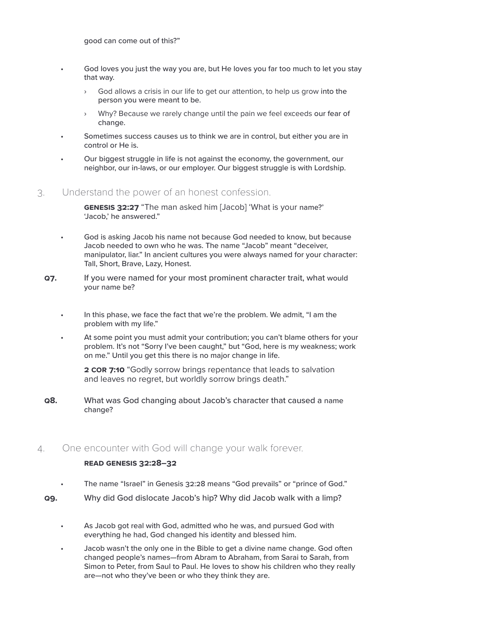good can come out of this?"

- God loves you just the way you are, but He loves you far too much to let you stay that way.
	- › God allows a crisis in our life to get our attention, to help us grow into the person you were meant to be.
	- Why? Because we rarely change until the pain we feel exceeds our fear of change.
- Sometimes success causes us to think we are in control, but either you are in control or He is.
- Our biggest struggle in life is not against the economy, the government, our neighbor, our in-laws, or our employer. Our biggest struggle is with Lordship.
- 3. Understand the power of an honest confession.

**GENESIS 32:27** "The man asked him [Jacob] 'What is your name?' 'Jacob,' he answered."

- God is asking Jacob his name not because God needed to know, but because Jacob needed to own who he was. The name "Jacob" meant "deceiver, manipulator, liar." In ancient cultures you were always named for your character: Tall, Short, Brave, Lazy, Honest.
- **Q7.** If you were named for your most prominent character trait, what would your name be?
	- In this phase, we face the fact that we're the problem. We admit, "I am the problem with my life."
	- At some point you must admit your contribution; you can't blame others for your problem. It's not "Sorry I've been caught," but "God, here is my weakness; work on me." Until you get this there is no major change in life.

**2 COR 7:10** "Godly sorrow brings repentance that leads to salvation and leaves no regret, but worldly sorrow brings death."

- **Q8.** What was God changing about Jacob's character that caused a name change?
- 4. One encounter with God will change your walk forever.

# **Read Genesis 32:28–32**

- The name "Israel" in Genesis 32:28 means "God prevails" or "prince of God."
- **Q9.** Why did God dislocate Jacob's hip? Why did Jacob walk with a limp?
	- As Jacob got real with God, admitted who he was, and pursued God with everything he had, God changed his identity and blessed him.
	- Jacob wasn't the only one in the Bible to get a divine name change. God often changed people's names—from Abram to Abraham, from Sarai to Sarah, from Simon to Peter, from Saul to Paul. He loves to show his children who they really are—not who they've been or who they think they are.